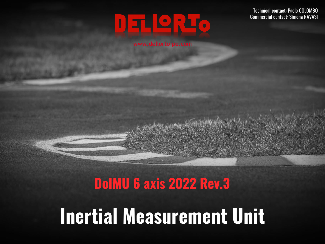# DELLEC

#### **www.dellorto-pe.com**

Technical contact: Paolo COLOMBO Commercial contact: Simona RAVASI

# **DoIMU 6 axis 2022 Rev.3 Inertial Measurement Unit**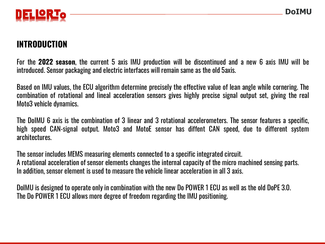

#### **INTRODUCTION**

For the **2022 season**, the current 5 axis IMU production will be discontinued and a new 6 axis IMU will be introduced. Sensor packaging and electric interfaces will remain same as the old 5axis.

Based on IMU values, the ECU algorithm determine precisely the effective value of lean angle while cornering. The combination of rotational and lineal acceleration sensors gives highly precise signal output set, giving the real Moto3 vehicle dynamics.

The DoIMU 6 axis is the combination of 3 linear and 3 rotational accelerometers. The sensor features a specific, high speed CAN-signal output. Moto3 and MotoE sensor has diffent CAN speed, due to different system architectures.

The sensor includes MEMS measuring elements connected to a specific integrated circuit. A rotational acceleration of sensor elements changes the internal capacity of the micro machined sensing parts. In addition, sensor element is used to measure the vehicle linear acceleration in all 3 axis.

DoIMU is designed to operate only in combination with the new Do POWER 1 ECU as well as the old DoPE 3.0. The Do POWER 1 ECU allows more degree of freedom regarding the IMU positioning.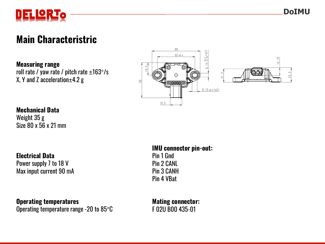

#### **Main Characteristric**

**Measuring range** roll rate / yaw rate / pitch rate  $\pm 163^{\circ}/s$  $X, Y$  and Z acceleration $\pm$ 4.2 g



#### **Mechanical Data**

Weight 35 g Size 80 x 56 x 21 mm

**Electrical Data**

Power supply 7 to 18 V Max input current 90 mA

**Operating temperatures**

Operating temperature range -20 to 85°C

**IMU connector pin-out:**

Pin 1 Gnd Pin 2 CANL Pin 3 CANH Pin 4 VBat

**Mating connector:**  F 02U B00 435-01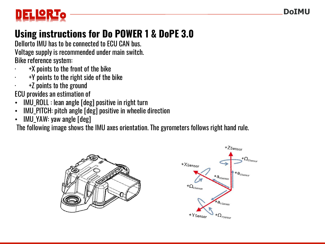

## **Using instructions for Do POWER 1 & DoPE 3.0**

Dellorto IMU has to be connected to ECU CAN bus. Voltage supply is recommended under main switch. Bike reference system:

- · +X points to the front of the bike
- · +Y points to the right side of the bike
- · +Z points to the ground

ECU provides an estimation of

- IMU\_ROLL : lean angle [deg] positive in right turn
- IMU\_PITCH: pitch angle [deg] positive in wheelie direction
- IMU\_YAW: yaw angle [deg]

The following image shows the IMU axes orientation. The gyrometers follows right hand rule.



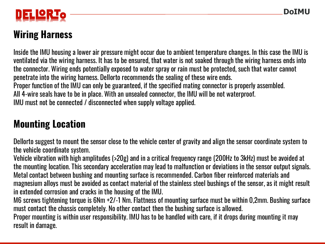

## **Wiring Harness**

Inside the IMU housing a lower air pressure might occur due to ambient temperature changes. In this case the IMU is ventilated via the wiring harness. It has to be ensured, that water is not soaked through the wiring harness ends into the connector. Wiring ends potentially exposed to water spray or rain must be protected, such that water cannot penetrate into the wiring harness. Dellorto recommends the sealing of these wire ends. Proper function of the IMU can only be guaranteed, if the specified mating connector is properly assembled. All 4-wire seals have to be in place. With an unsealed connector, the IMU will be not waterproof. IMU must not be connected / disconnected when supply voltage applied.

### **Mounting Location**

Dellorto suggest to mount the sensor close to the vehicle center of gravity and align the sensor coordinate system to the vehicle coordinate system.

Vehicle vibration with high amplitudes (>20g) and in a critical frequency range (200Hz to 3kHz) must be avoided at the mounting location. This secondary acceleration may lead to malfunction or deviations in the sensor output signals. Metal contact between bushing and mounting surface is recommended. Carbon fiber reinforced materials and magnesium alloys must be avoided as contact material of the stainless steel bushings of the sensor, as it might result in extended corrosion and cracks in the housing of the IMU.

M6 screws tightening torque is 6Nm +2/-1 Nm. Flattness of mounting surface must be within 0,2mm. Bushing surface must contact the chassis completely. No other contact then the bushing surface is allowed.

Proper mounting is within user responsibility. IMU has to be handled with care, if it drops during mounting it may result in damage.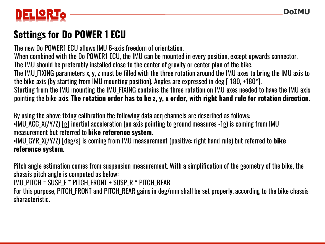

## **Settings for Do POWER 1 ECU**

The new Do POWER1 ECU allows IMU 6-axis freedom of orientation.

When combined with the Do POWER1 ECU, the IMU can be mounted in every position, except upwards connector.

The IMU should be preferably installed close to the center of gravity or center plan of the bike.

The IMU\_FIXING parameters x, y, z must be filled with the three rotation around the IMU axes to bring the IMU axis to the bike axis (by starting from IMU mounting position). Angles are expressed in deg [-180, +180°].

Starting from the IMU mounting the IMU\_FIXING contains the three rotation on IMU axes needed to have the IMU axis pointing the bike axis. **The rotation order has to be z, y, x order, with right hand rule for rotation direction.**

By using the above fixing calibration the following data acq channels are described as follows: •IMU\_ACC\_X(/Y/Z) [g] inertial acceleration (an axis pointing to ground measures -1g) is coming from IMU measurement but referred to **bike reference system**.

•IMU\_GYR\_X(/Y/Z) [deg/s] is coming from IMU measurement (positive: right hand rule) but referred to **bike reference system.**

Pitch angle estimation comes from suspension measurement. With a simplification of the geometry of the bike, the chassis pitch angle is computed as below:

IMU\_PITCH = SUSP\_F \* PITCH\_FRONT + SUSP\_R \* PITCH\_REAR

For this purpose, PITCH\_FRONT and PITCH\_REAR gains in deg/mm shall be set properly, according to the bike chassis characteristic.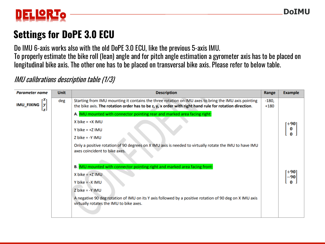

## **Settings for DoPE 3.0 ECU**

Do IMU 6-axis works also with the old DoPE 3.0 ECU, like the previous 5-axis IMU. To properly estimate the bike roll (lean) angle and for pitch angle estimation a gyrometer axis has to be placed on longitudinal bike axis. The other one has to be placed on transversal bike axis. Please refer to below table.

#### IMU calibrations description table (1/3)

| <b>Parameter name</b> | <b>Unit</b> | <b>Description</b>                                                                                                                                                                                             | Range             | <b>Example</b> |
|-----------------------|-------------|----------------------------------------------------------------------------------------------------------------------------------------------------------------------------------------------------------------|-------------------|----------------|
| <b>IMU_FIXING</b>     | deg         | Starting from IMU mounting it contains the three rotation on IMU axes to bring the IMU axis pointing<br>the bike axis. The rotation order has to be z, y, x order with right hand rule for rotation direction. | $-180,$<br>$+180$ |                |
|                       |             | A. <b>IMU</b> mounted with connector pointing rear and marked area facing right:                                                                                                                               |                   |                |
|                       |             | $X$ bike = $+X$ IMU                                                                                                                                                                                            |                   | [+90]          |
|                       |             | Y bike = $+Z$ IMU                                                                                                                                                                                              |                   | 0              |
|                       |             | $Z$ bike = -Y IMU                                                                                                                                                                                              |                   | 0              |
|                       |             | Only a positive rotation of 90 degrees on X IMU axis is needed to virtually rotate the IMU to have IMU<br>axes coincident to bike axes.                                                                        |                   |                |
|                       |             | B. <b>IMU</b> mounted with connector pointing right and marked area facing front:                                                                                                                              |                   |                |
|                       |             | $X$ bike = +Z IMU                                                                                                                                                                                              |                   | [+90]<br>-90   |
|                       |             | $Y$ bike = $-X$ IMU                                                                                                                                                                                            |                   | $\bf{0}$       |
|                       |             | $Z$ bike = -Y IMU                                                                                                                                                                                              |                   |                |
|                       |             | A negative 90 deg rotation of IMU on its Y axis followed by a positive rotation of 90 deg on X IMU axis<br>virtually rotates the IMU to bike axes.                                                             |                   |                |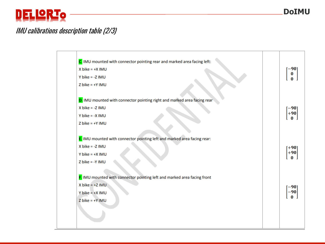## DELLORIO

#### IMU calibrations description table (2/3)

| C. IMU mounted with connector pointing rear and marked area facing left:<br>$X$ bike = $+X$ IMU                                           | –90]                       |
|-------------------------------------------------------------------------------------------------------------------------------------------|----------------------------|
| Y bike = $-Z$ IMU                                                                                                                         | $\bf{0}$                   |
| $Z$ bike = $+Y$ IMU                                                                                                                       |                            |
|                                                                                                                                           |                            |
| D. IMU mounted with connector pointing right and marked area facing rear                                                                  |                            |
| $X$ bike = -Z IMU                                                                                                                         | -90                        |
| Y bike = $-X$ IMU                                                                                                                         | $+90$                      |
| $Z$ bike = $+Y$ IMU                                                                                                                       |                            |
| E. IMU mounted with connector pointing left and marked area facing rear:<br>$X$ bike = -Z IMU<br>$Y$ bike = $+X$ IMU<br>$Z$ bike = -Y IMU | ั+90⊺<br>$+90$<br>$\bf{0}$ |
| F. IMU mounted with connector pointing left and marked area facing front                                                                  |                            |
| $X$ bike = +Z IMU                                                                                                                         | -90                        |
| Y bike = $+X$ IMU                                                                                                                         | 90                         |
| $Z$ bike = $+Y$ IMU                                                                                                                       | $\bf{0}$                   |
|                                                                                                                                           |                            |
|                                                                                                                                           |                            |
|                                                                                                                                           |                            |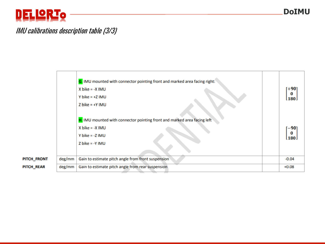## DEL LORTO

#### IMU calibrations description table (3/3)

|             |        | G. IMU mounted with connector pointing front and marked area facing right:<br>$X$ bike = $-X$ IMU<br>Y bike = $+Z$ IMU<br>$Z$ bike = $+Y$ IMU | [+90]<br>0<br>180 |
|-------------|--------|-----------------------------------------------------------------------------------------------------------------------------------------------|-------------------|
|             |        | H. IMU mounted with connector pointing front and marked area facing left<br>$X$ bike = $-X$ IMU<br>Y bike = $-Z$ IMU<br>$Z$ bike = -Y IMU     | -901<br>0<br>180. |
| PITCH_FRONT | deg/mm | Gain to estimate pitch angle from front suspension                                                                                            | $-0.04$           |
| PITCH_REAR  | deg/mm | Gain to estimate pitch angle from rear suspension                                                                                             | $+0.08$           |